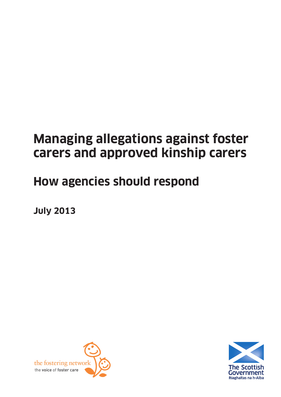# **Managing allegations against foster carers and approved kinship carers**

# **How agencies should respond**

**July 2013**



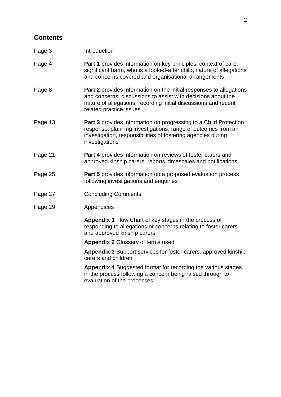# **Contents**

| Page 3  | Introduction                                                                                                                                                                                                                             |  |
|---------|------------------------------------------------------------------------------------------------------------------------------------------------------------------------------------------------------------------------------------------|--|
| Page 4  | Part 1 provides information on key principles, context of care,<br>significant harm, who is a looked-after child, nature of allegations<br>and concerns covered and organisational arrangements                                          |  |
| Page 8  | <b>Part 2</b> provides information on the initial responses to allegations<br>and concerns, discussions to assist with decisions about the<br>nature of allegations, recording initial discussions and recent<br>related practice issues |  |
| Page 13 | Part 3 provides information on progressing to a Child Protection<br>response, planning investigations, range of outcomes from an<br>investigation, responsibilities of fostering agencies during<br>investigations                       |  |
| Page 21 | <b>Part 4</b> provides information on reviews of foster carers and<br>approved kinship carers, reports, timescales and notifications                                                                                                     |  |
| Page 25 | Part 5 provides information on a proposed evaluation process<br>following investigations and enquiries                                                                                                                                   |  |
| Page 27 | <b>Concluding Comments</b>                                                                                                                                                                                                               |  |
| Page 29 | Appendices                                                                                                                                                                                                                               |  |
|         | Appendix 1 Flow Chart of key stages in the process of<br>responding to allegations or concerns relating to foster carers<br>and approved kinship carers                                                                                  |  |
|         | <b>Appendix 2 Glossary of terms used</b>                                                                                                                                                                                                 |  |
|         | Appendix 3 Support services for foster carers, approved kinship<br>carers and children                                                                                                                                                   |  |
|         | <b>Appendix 4</b> Suggested format for recording the various stages                                                                                                                                                                      |  |

in the process following a concern being raised through to evaluation of the processes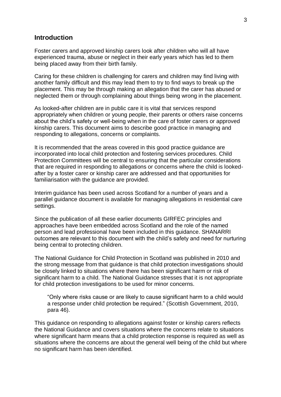#### **Introduction**

Foster carers and approved kinship carers look after children who will all have experienced trauma, abuse or neglect in their early years which has led to them being placed away from their birth family.

Caring for these children is challenging for carers and children may find living with another family difficult and this may lead them to try to find ways to break up the placement. This may be through making an allegation that the carer has abused or neglected them or through complaining about things being wrong in the placement.

As looked-after children are in public care it is vital that services respond appropriately when children or young people, their parents or others raise concerns about the child's safety or well-being when in the care of foster carers or approved kinship carers. This document aims to describe good practice in managing and responding to allegations, concerns or complaints.

It is recommended that the areas covered in this good practice guidance are incorporated into local child protection and fostering services procedures. Child Protection Committees will be central to ensuring that the particular considerations that are required in responding to allegations or concerns where the child is lookedafter by a foster carer or kinship carer are addressed and that opportunities for familiarisation with the guidance are provided.

Interim guidance has been used across Scotland for a number of years and a parallel guidance document is available for managing allegations in residential care settings.

Since the publication of all these earlier documents GIRFEC principles and approaches have been embedded across Scotland and the role of the named person and lead professional have been included in this guidance. SHANARRI outcomes are relevant to this document with the child's safety and need for nurturing being central to protecting children.

The National Guidance for Child Protection in Scotland was published in 2010 and the strong message from that guidance is that child protection investigations should be closely linked to situations where there has been significant harm or risk of significant harm to a child. The National Guidance stresses that it is not appropriate for child protection investigations to be used for minor concerns.

"Only where risks cause or are likely to cause significant harm to a child would a response under child protection be required." (Scottish Government, 2010, para 46).

This guidance on responding to allegations against foster or kinship carers reflects the National Guidance and covers situations where the concerns relate to situations where significant harm means that a child protection response is required as well as situations where the concerns are about the general well being of the child but where no significant harm has been identified.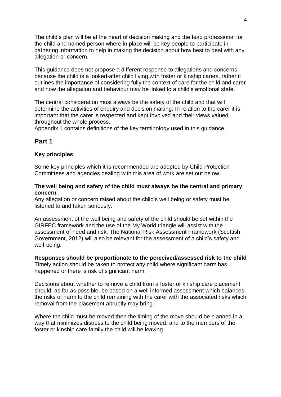The child's plan will be at the heart of decision making and the lead professional for the child and named person where in place will be key people to participate in gathering information to help in making the decision about how best to deal with any allegation or concern.

This guidance does not propose a different response to allegations and concerns because the child is a looked-after child living with foster or kinship carers, rather it outlines the importance of considering fully the context of care for the child and carer and how the allegation and behaviour may be linked to a child's emotional state.

The central consideration must always be the safety of the child and that will determine the activities of enquiry and decision making. In relation to the carer it is important that the carer is respected and kept involved and their views valued throughout the whole process.

Appendix 1 contains definitions of the key terminology used in this guidance.

## **Part 1**

#### **Key principles**

Some key principles which it is recommended are adopted by Child Protection Committees and agencies dealing with this area of work are set out below.

#### **The well being and safety of the child must always be the central and primary concern**

Any allegation or concern raised about the child's well being or safety must be listened to and taken seriously.

An assessment of the well being and safety of the child should be set within the GIRFEC framework and the use of the My World triangle will assist with the assessment of need and risk. The National Risk Assessment Framework (Scottish Government, 2012) will also be relevant for the assessment of a child's safety and well-being.

#### **Responses should be proportionate to the perceived/assessed risk to the child**

Timely action should be taken to protect any child where significant harm has happened or there is risk of significant harm.

Decisions about whether to remove a child from a foster or kinship care placement should, as far as possible, be based on a well informed assessment which balances the risks of harm to the child remaining with the carer with the associated risks which removal from the placement abruptly may bring.

Where the child must be moved then the timing of the move should be planned in a way that minimizes distress to the child being moved, and to the members of the foster or kinship care family the child will be leaving.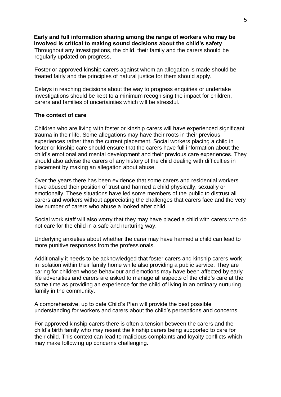**Early and full information sharing among the range of workers who may be involved is critical to making sound decisions about the child's safety** Throughout any investigations, the child, their family and the carers should be regularly updated on progress.

Foster or approved kinship carers against whom an allegation is made should be treated fairly and the principles of natural justice for them should apply.

Delays in reaching decisions about the way to progress enquiries or undertake investigations should be kept to a minimum recognising the impact for children, carers and families of uncertainties which will be stressful.

#### **The context of care**

Children who are living with foster or kinship carers will have experienced significant trauma in their life. Some allegations may have their roots in their previous experiences rather than the current placement. Social workers placing a child in foster or kinship care should ensure that the carers have full information about the child's emotional and mental development and their previous care experiences. They should also advise the carers of any history of the child dealing with difficulties in placement by making an allegation about abuse.

Over the years there has been evidence that some carers and residential workers have abused their position of trust and harmed a child physically, sexually or emotionally. These situations have led some members of the public to distrust all carers and workers without appreciating the challenges that carers face and the very low number of carers who abuse a looked after child.

Social work staff will also worry that they may have placed a child with carers who do not care for the child in a safe and nurturing way.

Underlying anxieties about whether the carer may have harmed a child can lead to more punitive responses from the professionals.

Additionally it needs to be acknowledged that foster carers and kinship carers work in isolation within their family home while also providing a public service. They are caring for children whose behaviour and emotions may have been affected by early life adversities and carers are asked to manage all aspects of the child's care at the same time as providing an experience for the child of living in an ordinary nurturing family in the community.

A comprehensive, up to date Child's Plan will provide the best possible understanding for workers and carers about the child's perceptions and concerns.

For approved kinship carers there is often a tension between the carers and the child's birth family who may resent the kinship carers being supported to care for their child. This context can lead to malicious complaints and loyalty conflicts which may make following up concerns challenging.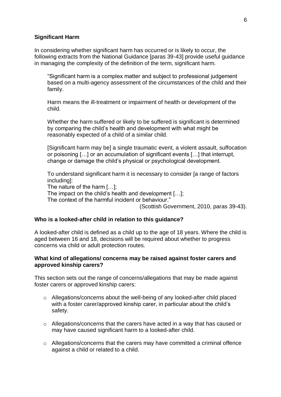#### **Significant Harm**

In considering whether significant harm has occurred or is likely to occur, the following extracts from the National Guidance [paras 39-43] provide useful guidance in managing the complexity of the definition of the term, significant harm.

"Significant harm is a complex matter and subject to professional judgement based on a multi-agency assessment of the circumstances of the child and their family.

Harm means the ill-treatment or impairment of health or development of the child.

Whether the harm suffered or likely to be suffered is significant is determined by comparing the child's health and development with what might be reasonably expected of a child of a similar child.

[Significant harm may be] a single traumatic event, a violent assault, suffocation or poisoning […] or an accumulation of significant events […] that interrupt, change or damage the child's physical or psychological development.

To understand significant harm it is necessary to consider [a range of factors including]:

The nature of the harm […];

The impact on the child's health and development […];

The context of the harmful incident or behaviour."

(Scottish Government, 2010, paras 39-43).

#### **Who is a looked-after child in relation to this guidance?**

A looked-after child is defined as a child up to the age of 18 years. Where the child is aged between 16 and 18, decisions will be required about whether to progress concerns via child or adult protection routes.

#### **What kind of allegations/ concerns may be raised against foster carers and approved kinship carers?**

This section sets out the range of concerns/allegations that may be made against foster carers or approved kinship carers:

- o Allegations/concerns about the well-being of any looked-after child placed with a foster carer/approved kinship carer, in particular about the child's safety.
- o Allegations/concerns that the carers have acted in a way that has caused or may have caused significant harm to a looked-after child.
- o Allegations/concerns that the carers may have committed a criminal offence against a child or related to a child.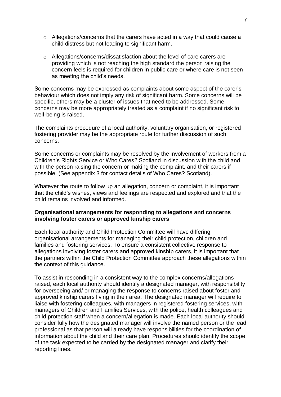- o Allegations/concerns that the carers have acted in a way that could cause a child distress but not leading to significant harm.
- o Allegations/concerns/dissatisfaction about the level of care carers are providing which is not reaching the high standard the person raising the concern feels is required for children in public care or where care is not seen as meeting the child's needs.

Some concerns may be expressed as complaints about some aspect of the carer's behaviour which does not imply any risk of significant harm. Some concerns will be specific, others may be a cluster of issues that need to be addressed. Some concerns may be more appropriately treated as a complaint if no significant risk to well-being is raised.

The complaints procedure of a local authority, voluntary organisation, or registered fostering provider may be the appropriate route for further discussion of such concerns.

Some concerns or complaints may be resolved by the involvement of workers from a Children's Rights Service or Who Cares? Scotland in discussion with the child and with the person raising the concern or making the complaint, and their carers if possible. (See appendix 3 for contact details of Who Cares? Scotland).

Whatever the route to follow up an allegation, concern or complaint, it is important that the child's wishes, views and feelings are respected and explored and that the child remains involved and informed.

#### **Organisational arrangements for responding to allegations and concerns involving foster carers or approved kinship carers**

Each local authority and Child Protection Committee will have differing organisational arrangements for managing their child protection, children and families and fostering services. To ensure a consistent collective response to allegations involving foster carers and approved kinship carers, it is important that the partners within the Child Protection Committee approach these allegations within the context of this guidance.

To assist in responding in a consistent way to the complex concerns/allegations raised, each local authority should identify a designated manager, with responsibility for overseeing and/ or managing the response to concerns raised about foster and approved kinship carers living in their area. The designated manager will require to liaise with fostering colleagues, with managers in registered fostering services, with managers of Children and Families Services, with the police, health colleagues and child protection staff when a concern/allegation is made. Each local authority should consider fully how the designated manager will involve the named person or the lead professional as that person will already have responsibilities for the coordination of information about the child and their care plan. Procedures should identify the scope of the task expected to be carried by the designated manager and clarify their reporting lines.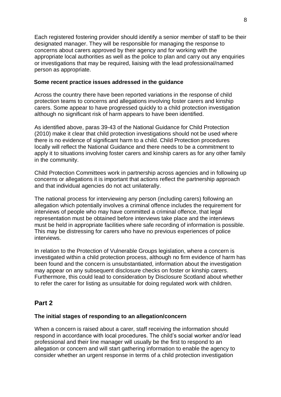Each registered fostering provider should identify a senior member of staff to be their designated manager. They will be responsible for managing the response to concerns about carers approved by their agency and for working with the appropriate local authorities as well as the police to plan and carry out any enquiries or investigations that may be required, liaising with the lead professional/named person as appropriate.

## **Some recent practice issues addressed in the guidance**

Across the country there have been reported variations in the response of child protection teams to concerns and allegations involving foster carers and kinship carers. Some appear to have progressed quickly to a child protection investigation although no significant risk of harm appears to have been identified.

As identified above, paras 39-43 of the National Guidance for Child Protection (2010) make it clear that child protection investigations should not be used where there is no evidence of significant harm to a child. Child Protection procedures locally will reflect the National Guidance and there needs to be a commitment to apply it to situations involving foster carers and kinship carers as for any other family in the community.

Child Protection Committees work in partnership across agencies and in following up concerns or allegations it is important that actions reflect the partnership approach and that individual agencies do not act unilaterally.

The national process for interviewing any person (including carers) following an allegation which potentially involves a criminal offence includes the requirement for interviews of people who may have committed a criminal offence, that legal representation must be obtained before interviews take place and the interviews must be held in appropriate facilities where safe recording of information is possible. This may be distressing for carers who have no previous experiences of police interviews.

In relation to the Protection of Vulnerable Groups legislation, where a concern is investigated within a child protection process, although no firm evidence of harm has been found and the concern is unsubstantiated, information about the investigation may appear on any subsequent disclosure checks on foster or kinship carers. Furthermore, this could lead to consideration by Disclosure Scotland about whether to refer the carer for listing as unsuitable for doing regulated work with children.

## **Part 2**

#### **The initial stages of responding to an allegation/concern**

When a concern is raised about a carer, staff receiving the information should respond in accordance with local procedures. The child's social worker and/or lead professional and their line manager will usually be the first to respond to an allegation or concern and will start gathering information to enable the agency to consider whether an urgent response in terms of a child protection investigation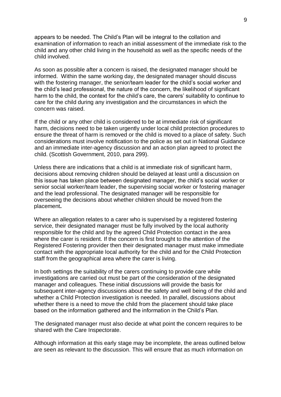appears to be needed. The Child's Plan will be integral to the collation and examination of information to reach an initial assessment of the immediate risk to the child and any other child living in the household as well as the specific needs of the child involved.

As soon as possible after a concern is raised, the designated manager should be informed. Within the same working day, the designated manager should discuss with the fostering manager, the senior/team leader for the child's social worker and the child's lead professional, the nature of the concern, the likelihood of significant harm to the child, the context for the child's care, the carers' suitability to continue to care for the child during any investigation and the circumstances in which the concern was raised.

If the child or any other child is considered to be at immediate risk of significant harm, decisions need to be taken urgently under local child protection procedures to ensure the threat of harm is removed or the child is moved to a place of safety. Such considerations must involve notification to the police as set out in National Guidance and an immediate inter-agency discussion and an action plan agreed to protect the child. (Scottish Government, 2010, para 299).

Unless there are indications that a child is at immediate risk of significant harm, decisions about removing children should be delayed at least until a discussion on this issue has taken place between designated manager, the child's social worker or senior social worker/team leader, the supervising social worker or fostering manager and the lead professional. The designated manager will be responsible for overseeing the decisions about whether children should be moved from the placement**.** 

Where an allegation relates to a carer who is supervised by a registered fostering service, their designated manager must be fully involved by the local authority responsible for the child and by the agreed Child Protection contact in the area where the carer is resident. If the concern is first brought to the attention of the Registered Fostering provider then their designated manager must make immediate contact with the appropriate local authority for the child and for the Child Protection staff from the geographical area where the carer is living.

In both settings the suitability of the carers continuing to provide care while investigations are carried out must be part of the consideration of the designated manager and colleagues. These initial discussions will provide the basis for subsequent inter-agency discussions about the safety and well being of the child and whether a Child Protection investigation is needed. In parallel, discussions about whether there is a need to move the child from the placement should take place based on the information gathered and the information in the Child's Plan.

The designated manager must also decide at what point the concern requires to be shared with the Care Inspectorate.

Although information at this early stage may be incomplete, the areas outlined below are seen as relevant to the discussion. This will ensure that as much information on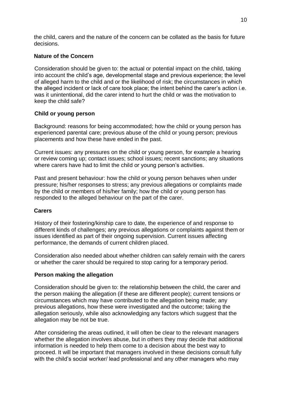the child, carers and the nature of the concern can be collated as the basis for future decisions.

## **Nature of the Concern**

Consideration should be given to: the actual or potential impact on the child, taking into account the child's age, developmental stage and previous experience; the level of alleged harm to the child and or the likelihood of risk; the circumstances in which the alleged incident or lack of care took place; the intent behind the carer's action i.e. was it unintentional, did the carer intend to hurt the child or was the motivation to keep the child safe?

## **Child or young person**

Background: reasons for being accommodated; how the child or young person has experienced parental care; previous abuse of the child or young person; previous placements and how these have ended in the past.

Current issues: any pressures on the child or young person, for example a hearing or review coming up; contact issues; school issues; recent sanctions; any situations where carers have had to limit the child or young person's activities.

Past and present behaviour: how the child or young person behaves when under pressure; his/her responses to stress; any previous allegations or complaints made by the child or members of his/her family; how the child or young person has responded to the alleged behaviour on the part of the carer.

#### **Carers**

History of their fostering/kinship care to date, the experience of and response to different kinds of challenges; any previous allegations or complaints against them or issues identified as part of their ongoing supervision. Current issues affecting performance, the demands of current children placed.

Consideration also needed about whether children can safely remain with the carers or whether the carer should be required to stop caring for a temporary period.

#### **Person making the allegation**

Consideration should be given to: the relationship between the child, the carer and the person making the allegation (if these are different people); current tensions or circumstances which may have contributed to the allegation being made; any previous allegations, how these were investigated and the outcome; taking the allegation seriously, while also acknowledging any factors which suggest that the allegation may be not be true.

After considering the areas outlined, it will often be clear to the relevant managers whether the allegation involves abuse, but in others they may decide that additional information is needed to help them come to a decision about the best way to proceed. It will be important that managers involved in these decisions consult fully with the child's social worker/ lead professional and any other managers who may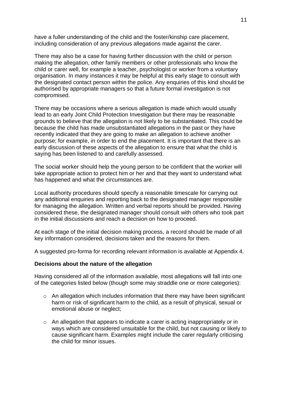have a fuller understanding of the child and the foster/kinship care placement, including consideration of any previous allegations made against the carer.

There may also be a case for having further discussion with the child or person making the allegation, other family members or other professionals who know the child or carer well, for example a teacher, psychologist or worker from a voluntary organisation. In many instances it may be helpful at this early stage to consult with the designated contact person within the police. Any enquiries of this kind should be authorised by appropriate managers so that a future formal investigation is not compromised.

There may be occasions where a serious allegation is made which would usually lead to an early Joint Child Protection Investigation but there may be reasonable grounds to believe that the allegation is not likely to be substantiated. This could be because the child has made unsubstantiated allegations in the past or they have recently indicated that they are going to make an allegation to achieve another purpose; for example, in order to end the placement. It is important that there is an early discussion of these aspects of the allegation to ensure that what the child is saying has been listened to and carefully assessed.

The social worker should help the young person to be confident that the worker will take appropriate action to protect him or her and that they want to understand what has happened and what the circumstances are.

Local authority procedures should specify a reasonable timescale for carrying out any additional enquiries and reporting back to the designated manager responsible for managing the allegation. Written and verbal reports should be provided. Having considered these, the designated manager should consult with others who took part in the initial discussions and reach a decision on how to proceed.

At each stage of the initial decision making process, a record should be made of all key information considered, decisions taken and the reasons for them.

A suggested pro-forma for recording relevant information is available at Appendix 4.

#### **Decisions about the nature of the allegation**

Having considered all of the information available, most allegations will fall into one of the categories listed below (though some may straddle one or more categories):

- $\circ$  An allegation which includes information that there may have been significant harm or risk of significant harm to the child, as a result of physical, sexual or emotional abuse or neglect;
- o An allegation that appears to indicate a carer is acting inappropriately or in ways which are considered unsuitable for the child, but not causing or likely to cause significant harm. Examples might include the carer regularly criticising the child for minor issues.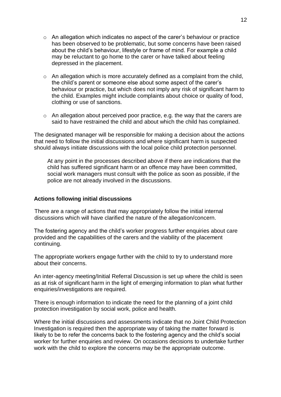- o An allegation which indicates no aspect of the carer's behaviour or practice has been observed to be problematic, but some concerns have been raised about the child's behaviour, lifestyle or frame of mind. For example a child may be reluctant to go home to the carer or have talked about feeling depressed in the placement.
- $\circ$  An allegation which is more accurately defined as a complaint from the child, the child's parent or someone else about some aspect of the carer's behaviour or practice, but which does not imply any risk of significant harm to the child. Examples might include complaints about choice or quality of food, clothing or use of sanctions.
- o An allegation about perceived poor practice, e.g. the way that the carers are said to have restrained the child and about which the child has complained.

The designated manager will be responsible for making a decision about the actions that need to follow the initial discussions and where significant harm is suspected should always initiate discussions with the local police child protection personnel.

At any point in the processes described above if there are indications that the child has suffered significant harm or an offence may have been committed, social work managers must consult with the police as soon as possible, if the police are not already involved in the discussions.

#### **Actions following initial discussions**

There are a range of actions that may appropriately follow the initial internal discussions which will have clarified the nature of the allegation/concern.

The fostering agency and the child's worker progress further enquiries about care provided and the capabilities of the carers and the viability of the placement continuing.

The appropriate workers engage further with the child to try to understand more about their concerns.

An inter-agency meeting/Initial Referral Discussion is set up where the child is seen as at risk of significant harm in the light of emerging information to plan what further enquiries/investigations are required.

There is enough information to indicate the need for the planning of a joint child protection investigation by social work, police and health.

Where the initial discussions and assessments indicate that no Joint Child Protection Investigation is required then the appropriate way of taking the matter forward is likely to be to refer the concerns back to the fostering agency and the child's social worker for further enquiries and review. On occasions decisions to undertake further work with the child to explore the concerns may be the appropriate outcome.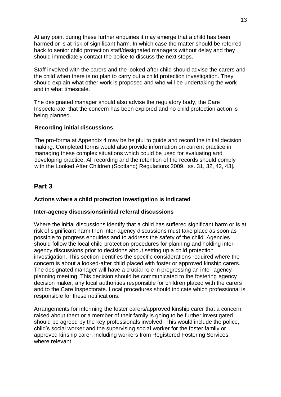At any point during these further enquiries it may emerge that a child has been harmed or is at risk of significant harm. In which case the matter should be referred back to senior child protection staff/designated managers without delay and they should immediately contact the police to discuss the next steps.

Staff involved with the carers and the looked-after child should advise the carers and the child when there is no plan to carry out a child protection investigation. They should explain what other work is proposed and who will be undertaking the work and in what timescale.

The designated manager should also advise the regulatory body, the Care Inspectorate, that the concern has been explored and no child protection action is being planned.

#### **Recording initial discussions**

The pro-forma at Appendix 4 may be helpful to guide and record the initial decision making. Completed forms would also provide information on current practice in managing these complex situations which could be used for evaluating and developing practice. All recording and the retention of the records should comply with the Looked After Children (Scotland) Regulations 2009, [ss. 31, 32, 42, 43].

## **Part 3**

#### **Actions where a child protection investigation is indicated**

#### **Inter-agency discussions/initial referral discussions**

Where the initial discussions identify that a child has suffered significant harm or is at risk of significant harm then inter-agency discussions must take place as soon as possible to progress enquiries and to address the safety of the child. Agencies should follow the local child protection procedures for planning and holding interagency discussions prior to decisions about setting up a child protection investigation. This section identifies the specific considerations required where the concern is about a looked-after child placed with foster or approved kinship carers. The designated manager will have a crucial role in progressing an inter-agency planning meeting. This decision should be communicated to the fostering agency decision maker, any local authorities responsible for children placed with the carers and to the Care Inspectorate. Local procedures should indicate which professional is responsible for these notifications.

Arrangements for informing the foster carers/approved kinship carer that a concern raised about them or a member of their family is going to be further investigated should be agreed by the key professionals involved. This would include the police, child's social worker and the supervising social worker for the foster family or approved kinship carer, including workers from Registered Fostering Services, where relevant.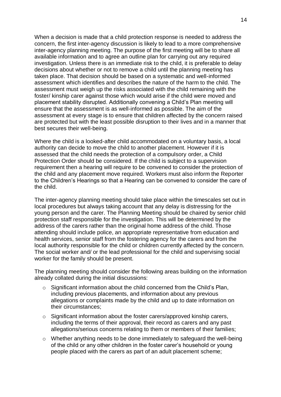When a decision is made that a child protection response is needed to address the concern, the first inter-agency discussion is likely to lead to a more comprehensive inter-agency planning meeting. The purpose of the first meeting will be to share all available information and to agree an outline plan for carrying out any required investigation. Unless there is an immediate risk to the child, it is preferable to delay decisions about whether or not to remove a child until the planning meeting has taken place. That decision should be based on a systematic and well-informed assessment which identifies and describes the nature of the harm to the child. The assessment must weigh up the risks associated with the child remaining with the foster/ kinship carer against those which would arise if the child were moved and placement stability disrupted. Additionally convening a Child's Plan meeting will ensure that the assessment is as well-informed as possible. The aim of the assessment at every stage is to ensure that children affected by the concern raised are protected but with the least possible disruption to their lives and in a manner that best secures their well-being.

Where the child is a looked-after child accommodated on a voluntary basis, a local authority can decide to move the child to another placement. However if it is assessed that the child needs the protection of a compulsory order, a Child Protection Order should be considered. If the child is subject to a supervision requirement then a hearing will require to be convened to consider the protection of the child and any placement move required. Workers must also inform the Reporter to the Children's Hearings so that a Hearing can be convened to consider the care of the child.

The inter-agency planning meeting should take place within the timescales set out in local procedures but always taking account that any delay is distressing for the young person and the carer. The Planning Meeting should be chaired by senior child protection staff responsible for the investigation. This will be determined by the address of the carers rather than the original home address of the child. Those attending should include police, an appropriate representative from education and health services, senior staff from the fostering agency for the carers and from the local authority responsible for the child or children currently affected by the concern. The social worker and/ or the lead professional for the child and supervising social worker for the family should be present.

The planning meeting should consider the following areas building on the information already collated during the initial discussions:

- o Significant information about the child concerned from the Child's Plan, including previous placements, and information about any previous allegations or complaints made by the child and up to date information on their circumstances;
- o Significant information about the foster carers/approved kinship carers, including the terms of their approval, their record as carers and any past allegations/serious concerns relating to them or members of their families;
- o Whether anything needs to be done immediately to safeguard the well-being of the child or any other children in the foster carer's household or young people placed with the carers as part of an adult placement scheme;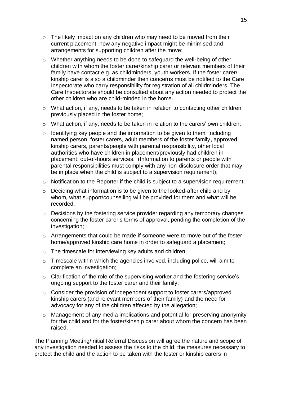- $\circ$  The likely impact on any children who may need to be moved from their current placement, how any negative impact might be minimised and arrangements for supporting children after the move;
- o Whether anything needs to be done to safeguard the well-being of other children with whom the foster carer/kinship carer or relevant members of their family have contact e.g. as childminders, youth workers. If the foster carer/ kinship carer is also a childminder then concerns must be notified to the Care Inspectorate who carry responsibility for registration of all childminders. The Care Inspectorate should be consulted about any action needed to protect the other children who are child-minded in the home.
- o What action, if any, needs to be taken in relation to contacting other children previously placed in the foster home;
- o What action, if any, needs to be taken in relation to the carers' own children;
- $\circ$  Identifying key people and the information to be given to them, including named person, foster carers, adult members of the foster family**,** approved kinship carers, parents/people with parental responsibility, other local authorities who have children in placement/previously had children in placement; out-of-hours services. (Information to parents or people with parental responsibilities must comply with any non-disclosure order that may be in place when the child is subject to a supervision requirement);
- o Notification to the Reporter if the child is subject to a supervision requirement;
- o Deciding what information is to be given to the looked-after child and by whom, what support/counselling will be provided for them and what will be recorded;
- o Decisions by the fostering service provider regarding any temporary changes concerning the foster carer's terms of approval, pending the completion of the investigation;
- o Arrangements that could be made if someone were to move out of the foster home/approved kinship care home in order to safeguard a placement;
- o The timescale for interviewing key adults and children;
- $\circ$  Timescale within which the agencies involved, including police, will aim to complete an investigation;
- o Clarification of the role of the supervising worker and the fostering service's ongoing support to the foster carer and their family;
- o Consider the provision of independent support to foster carers/approved kinship carers (and relevant members of their family) and the need for advocacy for any of the children affected by the allegation;
- o Management of any media implications and potential for preserving anonymity for the child and for the foster/kinship carer about whom the concern has been raised.

The Planning Meeting/Initial Referral Discussion will agree the nature and scope of any investigation needed to assess the risks to the child, the measures necessary to protect the child and the action to be taken with the foster or kinship carers in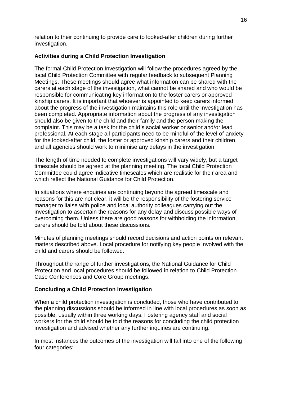relation to their continuing to provide care to looked-after children during further investigation.

## **Activities during a Child Protection Investigation**

The formal Child Protection Investigation will follow the procedures agreed by the local Child Protection Committee with regular feedback to subsequent Planning Meetings. These meetings should agree what information can be shared with the carers at each stage of the investigation, what cannot be shared and who would be responsible for communicating key information to the foster carers or approved kinship carers. It is important that whoever is appointed to keep carers informed about the progress of the investigation maintains this role until the investigation has been completed. Appropriate information about the progress of any investigation should also be given to the child and their family and the person making the complaint. This may be a task for the child's social worker or senior and/or lead professional. At each stage all participants need to be mindful of the level of anxiety for the looked-after child, the foster or approved kinship carers and their children, and all agencies should work to minimise any delays in the investigation.

The length of time needed to complete investigations will vary widely, but a target timescale should be agreed at the planning meeting. The local Child Protection Committee could agree indicative timescales which are realistic for their area and which reflect the National Guidance for Child Protection.

In situations where enquiries are continuing beyond the agreed timescale and reasons for this are not clear, it will be the responsibility of the fostering service manager to liaise with police and local authority colleagues carrying out the investigation to ascertain the reasons for any delay and discuss possible ways of overcoming them. Unless there are good reasons for withholding the information, carers should be told about these discussions.

Minutes of planning meetings should record decisions and action points on relevant matters described above. Local procedure for notifying key people involved with the child and carers should be followed.

Throughout the range of further investigations, the National Guidance for Child Protection and local procedures should be followed in relation to Child Protection Case Conferences and Core Group meetings.

#### **Concluding a Child Protection Investigation**

When a child protection investigation is concluded, those who have contributed to the planning discussions should be informed in line with local procedures as soon as possible, usually within three working days. Fostering agency staff and social workers for the child should be told the reasons for concluding the child protection investigation and advised whether any further inquiries are continuing.

In most instances the outcomes of the investigation will fall into one of the following four categories: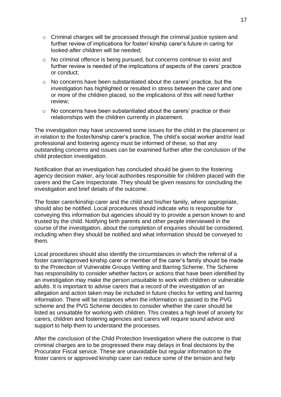- o Criminal charges will be processed through the criminal justice system and further review of implications for foster/ kinship carer's future in caring for looked-after children will be needed;
- o No criminal offence is being pursued, but concerns continue to exist and further review is needed of the implications of aspects of the carers' practice or conduct;
- $\circ$  No concerns have been substantiated about the carers' practice, but the investigation has highlighted or resulted in stress between the carer and one or more of the children placed, so the implications of this will need further review;
- o No concerns have been substantiated about the carers' practice or their relationships with the children currently in placement.

The investigation may have uncovered some issues for the child in the placement or in relation to the foster/kinship carer's practice. The child's social worker and/or lead professional and fostering agency must be informed of these, so that any outstanding concerns and issues can be examined further after the conclusion of the child protection investigation.

Notification that an investigation has concluded should be given to the fostering agency decision maker, any local authorities responsible for children placed with the carers and the Care Inspectorate. They should be given reasons for concluding the investigation and brief details of the outcome.

The foster carer/kinship carer and the child and his/her family, where appropriate, should also be notified. Local procedures should indicate who is responsible for conveying this information but agencies should try to provide a person known to and trusted by the child. Notifying birth parents and other people interviewed in the course of the investigation, about the completion of enquiries should be considered, including when they should be notified and what information should be conveyed to them.

Local procedures should also identify the circumstances in which the referral of a foster carer/approved kinship carer or member of the carer's family should be made to the Protection of Vulnerable Groups Vetting and Barring Scheme. The Scheme has responsibility to consider whether factors or actions that have been identified by an investigation may make the person unsuitable to work with children or vulnerable adults. It is important to advise carers that a record of the investigation of an allegation and action taken may be included in future checks for vetting and barring information. There will be instances when the information is passed to the PVG scheme and the PVG Scheme decides to consider whether the carer should be listed as unsuitable for working with children. This creates a high level of anxiety for carers, children and fostering agencies and carers will require sound advice and support to help them to understand the processes.

After the conclusion of the Child Protection Investigation where the outcome is that criminal charges are to be progressed there may delays in final decisions by the Procurator Fiscal service. These are unavoidable but regular information to the foster carers or approved kinship carer can reduce some of the tension and help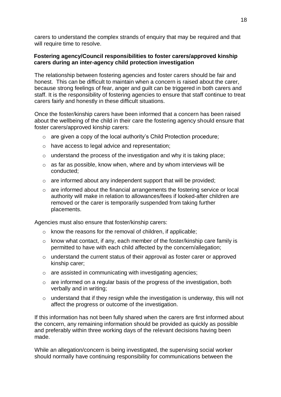carers to understand the complex strands of enquiry that may be required and that will require time to resolve.

## **Fostering agency/Council responsibilities to foster carers/approved kinship carers during an inter-agency child protection investigation**

The relationship between fostering agencies and foster carers should be fair and honest. This can be difficult to maintain when a concern is raised about the carer, because strong feelings of fear, anger and guilt can be triggered in both carers and staff. It is the responsibility of fostering agencies to ensure that staff continue to treat carers fairly and honestly in these difficult situations.

Once the foster/kinship carers have been informed that a concern has been raised about the wellbeing of the child in their care the fostering agency should ensure that foster carers/approved kinship carers:

- o are given a copy of the local authority's Child Protection procedure;
- o have access to legal advice and representation;
- $\circ$  understand the process of the investigation and why it is taking place;
- $\circ$  as far as possible, know when, where and by whom interviews will be conducted;
- o are informed about any independent support that will be provided;
- o are informed about the financial arrangements the fostering service or local authority will make in relation to allowances/fees if looked-after children are removed or the carer is temporarily suspended from taking further placements.

Agencies must also ensure that foster/kinship carers:

- o know the reasons for the removal of children, if applicable;
- o know what contact, if any, each member of the foster/kinship care family is permitted to have with each child affected by the concern/allegation;
- $\circ$  understand the current status of their approval as foster carer or approved kinship carer;
- o are assisted in communicating with investigating agencies;
- $\circ$  are informed on a regular basis of the progress of the investigation, both verbally and in writing;
- $\circ$  understand that if they resign while the investigation is underway, this will not affect the progress or outcome of the investigation.

If this information has not been fully shared when the carers are first informed about the concern, any remaining information should be provided as quickly as possible and preferably within three working days of the relevant decisions having been made.

While an allegation/concern is being investigated, the supervising social worker should normally have continuing responsibility for communications between the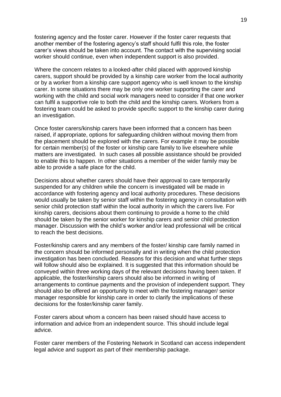fostering agency and the foster carer. However if the foster carer requests that another member of the fostering agency's staff should fulfil this role, the foster carer's views should be taken into account. The contact with the supervising social worker should continue, even when independent support is also provided.

Where the concern relates to a looked-after child placed with approved kinship carers, support should be provided by a kinship care worker from the local authority or by a worker from a kinship care support agency who is well known to the kinship carer. In some situations there may be only one worker supporting the carer and working with the child and social work managers need to consider if that one worker can fulfil a supportive role to both the child and the kinship carers. Workers from a fostering team could be asked to provide specific support to the kinship carer during an investigation.

Once foster carers/kinship carers have been informed that a concern has been raised, if appropriate, options for safeguarding children without moving them from the placement should be explored with the carers. For example it may be possible for certain member(s) of the foster or kinship care family to live elsewhere while matters are investigated. In such cases all possible assistance should be provided to enable this to happen. In other situations a member of the wider family may be able to provide a safe place for the child.

Decisions about whether carers should have their approval to care temporarily suspended for any children while the concern is investigated will be made in accordance with fostering agency and local authority procedures. These decisions would usually be taken by senior staff within the fostering agency in consultation with senior child protection staff within the local authority in which the carers live*.* For kinship carers, decisions about them continuing to provide a home to the child should be taken by the senior worker for kinship carers and senior child protection manager. Discussion with the child's worker and/or lead professional will be critical to reach the best decisions.

Foster/kinship carers and any members of the foster/ kinship care family named in the concern should be informed personally and in writing when the child protection investigation has been concluded. Reasons for this decision and what further steps will follow should also be explained. It is suggested that this information should be conveyed within three working days of the relevant decisions having been taken. If applicable, the foster/kinship carers should also be informed in writing of arrangements to continue payments and the provision of independent support. They should also be offered an opportunity to meet with the fostering manager/ senior manager responsible for kinship care in order to clarify the implications of these decisions for the foster/kinship carer family.

Foster carers about whom a concern has been raised should have access to information and advice from an independent source*.* This should include legal advice.

Foster carer members of the Fostering Network in Scotland can access independent legal advice and support as part of their membership package.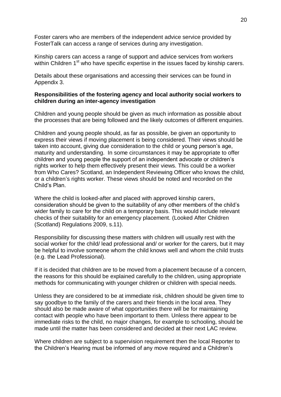Foster carers who are members of the independent advice service provided by FosterTalk can access a range of services during any investigation.

Kinship carers can access a range of support and advice services from workers within Children 1<sup>st</sup> who have specific expertise in the issues faced by kinship carers.

Details about these organisations and accessing their services can be found in Appendix 3.

#### **Responsibilities of the fostering agency and local authority social workers to children during an inter-agency investigation**

Children and young people should be given as much information as possible about the processes that are being followed and the likely outcomes of different enquiries.

Children and young people should, as far as possible, be given an opportunity to express their views if moving placement is being considered. Their views should be taken into account, giving due consideration to the child or young person's age, maturity and understanding. In some circumstances it may be appropriate to offer children and young people the support of an independent advocate or children's rights worker to help them effectively present their views. This could be a worker from Who Cares? Scotland, an Independent Reviewing Officer who knows the child, or a children's rights worker. These views should be noted and recorded on the Child's Plan.

Where the child is looked-after and placed with approved kinship carers, consideration should be given to the suitability of any other members of the child's wider family to care for the child on a temporary basis. This would include relevant checks of their suitability for an emergency placement. (Looked After Children (Scotland) Regulations 2009, s.11).

Responsibility for discussing these matters with children will usually rest with the social worker for the child/ lead professional and/ or worker for the carers, but it may be helpful to involve someone whom the child knows well and whom the child trusts (e.g. the Lead Professional).

If it is decided that children are to be moved from a placement because of a concern, the reasons for this should be explained carefully to the children, using appropriate methods for communicating with younger children or children with special needs.

Unless they are considered to be at immediate risk, children should be given time to say goodbye to the family of the carers and their friends in the local area. They should also be made aware of what opportunities there will be for maintaining contact with people who have been important to them. Unless there appear to be immediate risks to the child, no major changes, for example to schooling, should be made until the matter has been considered and decided at their next LAC review.

Where children are subject to a supervision requirement then the local Reporter to the Children's Hearing must be informed of any move required and a Children's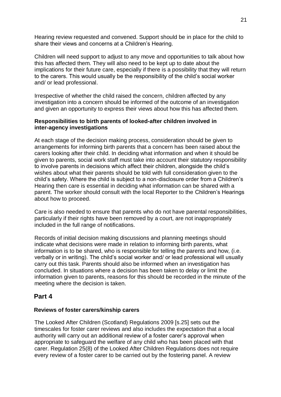Hearing review requested and convened. Support should be in place for the child to share their views and concerns at a Children's Hearing.

Children will need support to adjust to any move and opportunities to talk about how this has affected them. They will also need to be kept up to date about the implications for their future care, especially if there is a possibility that they will return to the carers. This would usually be the responsibility of the child's social worker and/ or lead professional.

Irrespective of whether the child raised the concern, children affected by any investigation into a concern should be informed of the outcome of an investigation and given an opportunity to express their views about how this has affected them.

## **Responsibilities to birth parents of looked-after children involved in inter-agency investigations**

At each stage of the decision making process, consideration should be given to arrangements for informing birth parents that a concern has been raised about the carers looking after their child. In deciding what information and when it should be given to parents, social work staff must take into account their statutory responsibility to involve parents in decisions which affect their children, alongside the child's wishes about what their parents should be told with full consideration given to the child's safety. Where the child is subject to a non-disclosure order from a Children's Hearing then care is essential in deciding what information can be shared with a parent. The worker should consult with the local Reporter to the Children's Hearings about how to proceed.

Care is also needed to ensure that parents who do not have parental responsibilities, particularly if their rights have been removed by a court, are not inappropriately included in the full range of notifications.

Records of initial decision making discussions and planning meetings should indicate what decisions were made in relation to informing birth parents, what information is to be shared, who is responsible for telling the parents and how, (i.e. verbally or in writing). The child's social worker and/ or lead professional will usually carry out this task. Parents should also be informed when an investigation has concluded. In situations where a decision has been taken to delay or limit the information given to parents, reasons for this should be recorded in the minute of the meeting where the decision is taken.

## **Part 4**

#### **Reviews of foster carers/kinship carers**

The Looked After Children (Scotland) Regulations 2009 [s.25] sets out the timescales for foster carer reviews and also includes the expectation that a local authority will carry out an additional review of a foster carer's approval when appropriate to safeguard the welfare of any child who has been placed with that carer. Regulation 25(8) of the Looked After Children Regulations does not require every review of a foster carer to be carried out by the fostering panel. A review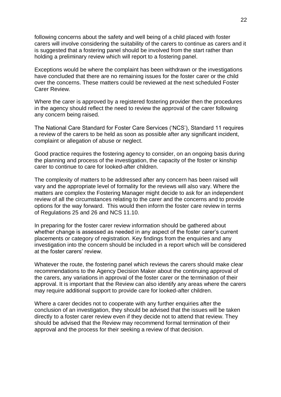following concerns about the safety and well being of a child placed with foster carers will involve considering the suitability of the carers to continue as carers and it is suggested that a fostering panel should be involved from the start rather than holding a preliminary review which will report to a fostering panel.

Exceptions would be where the complaint has been withdrawn or the investigations have concluded that there are no remaining issues for the foster carer or the child over the concerns. These matters could be reviewed at the next scheduled Foster Carer Review.

Where the carer is approved by a registered fostering provider then the procedures in the agency should reflect the need to review the approval of the carer following any concern being raised.

The National Care Standard for Foster Care Services ('NCS'), Standard 11 requires a review of the carers to be held as soon as possible after any significant incident, complaint or allegation of abuse or neglect.

Good practice requires the fostering agency to consider, on an ongoing basis during the planning and process of the investigation, the capacity of the foster or kinship carer to continue to care for looked-after children.

The complexity of matters to be addressed after any concern has been raised will vary and the appropriate level of formality for the reviews will also vary. Where the matters are complex the Fostering Manager might decide to ask for an independent review of all the circumstances relating to the carer and the concerns and to provide options for the way forward. This would then inform the foster care review in terms of Regulations 25 and 26 and NCS 11.10.

In preparing for the foster carer review information should be gathered about whether change is assessed as needed in any aspect of the foster carer's current placements or category of registration. Key findings from the enquiries and any investigation into the concern should be included in a report which will be considered at the foster carers' review.

Whatever the route, the fostering panel which reviews the carers should make clear recommendations to the Agency Decision Maker about the continuing approval of the carers, any variations in approval of the foster carer or the termination of their approval. It is important that the Review can also identify any areas where the carers may require additional support to provide care for looked-after children.

Where a carer decides not to cooperate with any further enquiries after the conclusion of an investigation, they should be advised that the issues will be taken directly to a foster carer review even if they decide not to attend that review. They should be advised that the Review may recommend formal termination of their approval and the process for their seeking a review of that decision.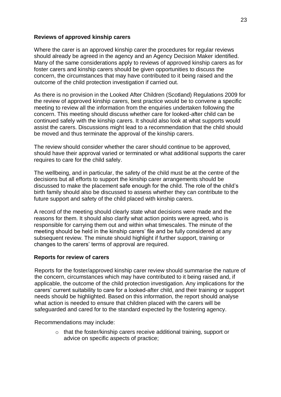#### **Reviews of approved kinship carers**

Where the carer is an approved kinship carer the procedures for regular reviews should already be agreed in the agency and an Agency Decision Maker identified. Many of the same considerations apply to reviews of approved kinship carers as for foster carers and kinship carers should be given opportunities to discuss the concern, the circumstances that may have contributed to it being raised and the outcome of the child protection investigation if carried out.

As there is no provision in the Looked After Children (Scotland) Regulations 2009 for the review of approved kinship carers, best practice would be to convene a specific meeting to review all the information from the enquiries undertaken following the concern. This meeting should discuss whether care for looked-after child can be continued safely with the kinship carers. It should also look at what supports would assist the carers. Discussions might lead to a recommendation that the child should be moved and thus terminate the approval of the kinship carers.

The review should consider whether the carer should continue to be approved, should have their approval varied or terminated or what additional supports the carer requires to care for the child safely.

The wellbeing, and in particular, the safety of the child must be at the centre of the decisions but all efforts to support the kinship carer arrangements should be discussed to make the placement safe enough for the child. The role of the child's birth family should also be discussed to assess whether they can contribute to the future support and safety of the child placed with kinship carers.

A record of the meeting should clearly state what decisions were made and the reasons for them. It should also clarify what action points were agreed, who is responsible for carrying them out and within what timescales. The minute of the meeting should be held in the kinship carers' file and be fully considered at any subsequent review. The minute should highlight if further support, training or changes to the carers' terms of approval are required.

#### **Reports for review of carers**

Reports for the foster/approved kinship carer review should summarise the nature of the concern, circumstances which may have contributed to it being raised and, if applicable, the outcome of the child protection investigation. Any implications for the carers' current suitability to care for a looked-after child, and their training or support needs should be highlighted. Based on this information, the report should analyse what action is needed to ensure that children placed with the carers will be safeguarded and cared for to the standard expected by the fostering agency.

Recommendations may include:

o that the foster/kinship carers receive additional training, support or advice on specific aspects of practice;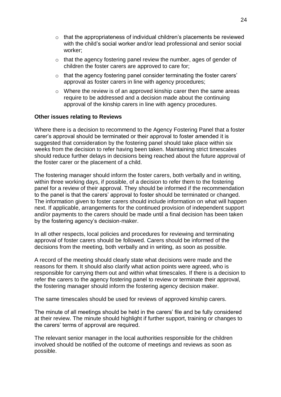- $\circ$  that the appropriateness of individual children's placements be reviewed with the child's social worker and/or lead professional and senior social worker;
- $\circ$  that the agency fostering panel review the number, ages of gender of children the foster carers are approved to care for;
- o that the agency fostering panel consider terminating the foster carers' approval as foster carers in line with agency procedures;
- $\circ$  Where the review is of an approved kinship carer then the same areas require to be addressed and a decision made about the continuing approval of the kinship carers in line with agency procedures.

#### **Other issues relating to Reviews**

Where there is a decision to recommend to the Agency Fostering Panel that a foster carer's approval should be terminated or their approval to foster amended it is suggested that consideration by the fostering panel should take place within six weeks from the decision to refer having been taken. Maintaining strict timescales should reduce further delays in decisions being reached about the future approval of the foster carer or the placement of a child.

The fostering manager should inform the foster carers, both verbally and in writing, within three working days, if possible, of a decision to refer them to the fostering panel for a review of their approval. They should be informed if the recommendation to the panel is that the carers' approval to foster should be terminated or changed. The information given to foster carers should include information on what will happen next. If applicable, arrangements for the continued provision of independent support and/or payments to the carers should be made until a final decision has been taken by the fostering agency's decision-maker.

In all other respects, local policies and procedures for reviewing and terminating approval of foster carers should be followed. Carers should be informed of the decisions from the meeting, both verbally and in writing, as soon as possible.

A record of the meeting should clearly state what decisions were made and the reasons for them. It should also clarify what action points were agreed, who is responsible for carrying them out and within what timescales. If there is a decision to refer the carers to the agency fostering panel to review or terminate their approval, the fostering manager should inform the fostering agency decision maker.

The same timescales should be used for reviews of approved kinship carers.

The minute of all meetings should be held in the carers' file and be fully considered at their review. The minute should highlight if further support, training or changes to the carers' terms of approval are required.

The relevant senior manager in the local authorities responsible for the children involved should be notified of the outcome of meetings and reviews as soon as possible.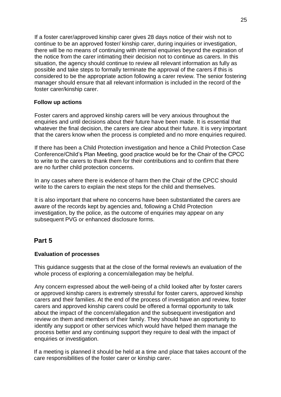If a foster carer/approved kinship carer gives 28 days notice of their wish not to continue to be an approved foster/ kinship carer, during inquiries or investigation, there will be no means of continuing with internal enquiries beyond the expiration of the notice from the carer intimating their decision not to continue as carers. In this situation, the agency should continue to review all relevant information as fully as possible and take steps to formally terminate the approval of the carers if this is considered to be the appropriate action following a carer review. The senior fostering manager should ensure that all relevant information is included in the record of the foster carer/kinship carer.

## **Follow up actions**

Foster carers and approved kinship carers will be very anxious throughout the enquiries and until decisions about their future have been made. It is essential that whatever the final decision, the carers are clear about their future. It is very important that the carers know when the process is completed and no more enquiries required.

If there has been a Child Protection investigation and hence a Child Protection Case Conference/Child's Plan Meeting, good practice would be for the Chair of the CPCC to write to the carers to thank them for their contributions and to confirm that there are no further child protection concerns.

In any cases where there is evidence of harm then the Chair of the CPCC should write to the carers to explain the next steps for the child and themselves.

It is also important that where no concerns have been substantiated the carers are aware of the records kept by agencies and, following a Child Protection investigation, by the police, as the outcome of enquiries may appear on any subsequent PVG or enhanced disclosure forms.

## **Part 5**

## **Evaluation of processes**

This guidance suggests that at the close of the formal review/s an evaluation of the whole process of exploring a concern/allegation may be helpful.

Any concern expressed about the well-being of a child looked after by foster carers or approved kinship carers is extremely stressful for foster carers, approved kinship carers and their families. At the end of the process of investigation and review, foster carers and approved kinship carers could be offered a formal opportunity to talk about the impact of the concern/allegation and the subsequent investigation and review on them and members of their family. They should have an opportunity to identify any support or other services which would have helped them manage the process better and any continuing support they require to deal with the impact of enquiries or investigation.

If a meeting is planned it should be held at a time and place that takes account of the care responsibilities of the foster carer or kinship carer.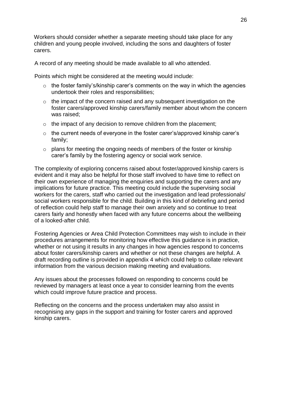Workers should consider whether a separate meeting should take place for any children and young people involved, including the sons and daughters of foster carers.

A record of any meeting should be made available to all who attended.

Points which might be considered at the meeting would include:

- $\circ$  the foster family's/kinship carer's comments on the way in which the agencies undertook their roles and responsibilities;
- $\circ$  the impact of the concern raised and any subsequent investigation on the foster carers/approved kinship carers/family member about whom the concern was raised;
- $\circ$  the impact of any decision to remove children from the placement;
- o the current needs of everyone in the foster carer's/approved kinship carer's family;
- o plans for meeting the ongoing needs of members of the foster or kinship carer's family by the fostering agency or social work service.

The complexity of exploring concerns raised about foster/approved kinship carers is evident and it may also be helpful for those staff involved to have time to reflect on their own experience of managing the enquiries and supporting the carers and any implications for future practice. This meeting could include the supervising social workers for the carers, staff who carried out the investigation and lead professionals/ social workers responsible for the child. Building in this kind of debriefing and period of reflection could help staff to manage their own anxiety and so continue to treat carers fairly and honestly when faced with any future concerns about the wellbeing of a looked-after child.

Fostering Agencies or Area Child Protection Committees may wish to include in their procedures arrangements for monitoring how effective this guidance is in practice, whether or not using it results in any changes in how agencies respond to concerns about foster carers/kinship carers and whether or not these changes are helpful. A draft recording outline is provided in appendix 4 which could help to collate relevant information from the various decision making meeting and evaluations.

Any issues about the processes followed on responding to concerns could be reviewed by managers at least once a year to consider learning from the events which could improve future practice and process.

Reflecting on the concerns and the process undertaken may also assist in recognising any gaps in the support and training for foster carers and approved kinship carers.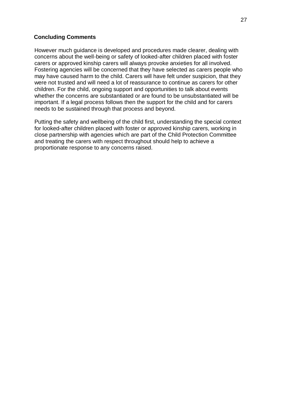#### **Concluding Comments**

However much guidance is developed and procedures made clearer, dealing with concerns about the well-being or safety of looked-after children placed with foster carers or approved kinship carers will always provoke anxieties for all involved. Fostering agencies will be concerned that they have selected as carers people who may have caused harm to the child. Carers will have felt under suspicion, that they were not trusted and will need a lot of reassurance to continue as carers for other children. For the child, ongoing support and opportunities to talk about events whether the concerns are substantiated or are found to be unsubstantiated will be important. If a legal process follows then the support for the child and for carers needs to be sustained through that process and beyond.

Putting the safety and wellbeing of the child first, understanding the special context for looked-after children placed with foster or approved kinship carers, working in close partnership with agencies which are part of the Child Protection Committee and treating the carers with respect throughout should help to achieve a proportionate response to any concerns raised.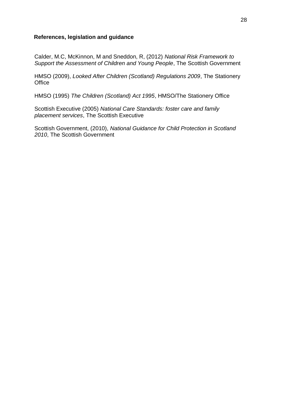#### **References, legislation and guidance**

Calder, M.C, McKinnon, M and Sneddon, R, (2012) *National Risk Framework to Support the Assessment of Children and Young People*, The Scottish Government

HMSO (2009), *Looked After Children (Scotland) Regulations 2009*, The Stationery **Office** 

HMSO (1995) *The Children (Scotland) Act 1995*, HMSO/The Stationery Office

Scottish Executive (2005) *National Care Standards: foster care and family placement services*, The Scottish Executive

Scottish Government, (2010), *National Guidance for Child Protection in Scotland 2010*, The Scottish Government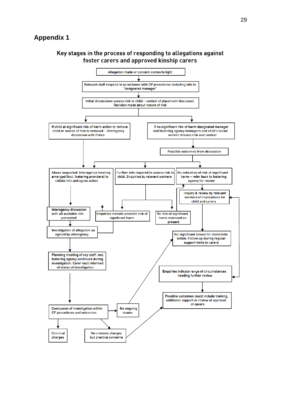## **Appendix 1**

## Key stages in the process of responding to allegations against foster carers and approved kinship carers

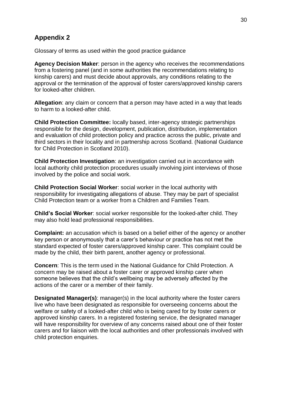# **Appendix 2**

Glossary of terms as used within the good practice guidance

**Agency Decision Maker**: person in the agency who receives the recommendations from a fostering panel (and in some authorities the recommendations relating to kinship carers) and must decide about approvals, any conditions relating to the approval or the termination of the approval of foster carers/approved kinship carers for looked-after children.

**Allegation**: any claim or concern that a person may have acted in a way that leads to harm to a looked-after child.

**Child Protection Committee:** locally based, inter-agency strategic partnerships responsible for the design, development, publication, distribution, implementation and evaluation of child protection policy and practice across the public, private and third sectors in their locality and in partnership across Scotland. (National Guidance for Child Protection in Scotland 2010).

**Child Protection Investigation**: an investigation carried out in accordance with local authority child protection procedures usually involving joint interviews of those involved by the police and social work.

**Child Protection Social Worker**: social worker in the local authority with responsibility for investigating allegations of abuse. They may be part of specialist Child Protection team or a worker from a Children and Families Team.

**Child's Social Worker**: social worker responsible for the looked-after child. They may also hold lead professional responsibilities.

**Complaint:** an accusation which is based on a belief either of the agency or another key person or anonymously that a carer's behaviour or practice has not met the standard expected of foster carers/approved kinship carer. This complaint could be made by the child, their birth parent, another agency or professional.

**Concern**: This is the term used in the National Guidance for Child Protection. A concern may be raised about a foster carer or approved kinship carer when someone believes that the child's wellbeing may be adversely affected by the actions of the carer or a member of their family.

**Designated Manager(s)**: manager(s) in the local authority where the foster carers live who have been designated as responsible for overseeing concerns about the welfare or safety of a looked-after child who is being cared for by foster carers or approved kinship carers. In a registered fostering service, the designated manager will have responsibility for overview of any concerns raised about one of their foster carers and for liaison with the local authorities and other professionals involved with child protection enquiries.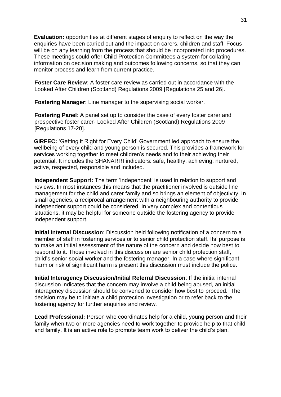**Evaluation:** opportunities at different stages of enquiry to reflect on the way the enquiries have been carried out and the impact on carers, children and staff. Focus will be on any learning from the process that should be incorporated into procedures. These meetings could offer Child Protection Committees a system for collating information on decision making and outcomes following concerns, so that they can monitor process and learn from current practice.

**Foster Care Review**: A foster care review as carried out in accordance with the Looked After Children (Scotland) Regulations 2009 [Regulations 25 and 26].

**Fostering Manager**: Line manager to the supervising social worker.

**Fostering Panel**: A panel set up to consider the case of every foster carer and prospective foster carer- Looked After Children (Scotland) Regulations 2009 [Regulations 17-20].

**GIRFEC:** 'Getting it Right for Every Child' Government led approach to ensure the wellbeing of every child and young person is secured. This provides a framework for services working together to meet children's needs and to their achieving their potential. It includes the SHANARRI indicators: safe, healthy, achieving, nurtured, active, respected, responsible and included.

**Independent Support:** The term 'independent' is used in relation to support and reviews. In most instances this means that the practitioner involved is outside line management for the child and carer family and so brings an element of objectivity. In small agencies, a reciprocal arrangement with a neighbouring authority to provide independent support could be considered. In very complex and contentious situations, it may be helpful for someone outside the fostering agency to provide independent support.

**Initial Internal Discussion**: Discussion held following notification of a concern to a member of staff in fostering services or to senior child protection staff. Its' purpose is to make an initial assessment of the nature of the concern and decide how best to respond to it. Those involved in this discussion are senior child protection staff, child's senior social worker and the fostering manager. In a case where significant harm or risk of significant harm is present this discussion must include the police.

**Initial Interagency Discussion/Initial Referral Discussion**: If the initial internal discussion indicates that the concern may involve a child being abused, an initial interagency discussion should be convened to consider how best to proceed. The decision may be to initiate a child protection investigation or to refer back to the fostering agency for further enquiries and review.

**Lead Professional:** Person who coordinates help for a child, young person and their family when two or more agencies need to work together to provide help to that child and family. It is an active role to promote team work to deliver the child's plan.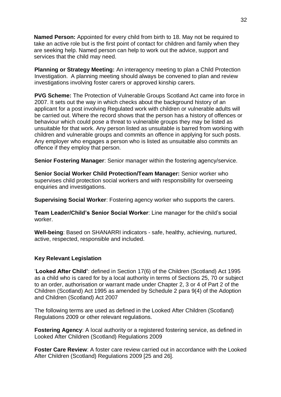**Named Person:** Appointed for every child from birth to 18. May not be required to take an active role but is the first point of contact for children and family when they are seeking help. Named person can help to work out the advice, support and services that the child may need.

**Planning or Strategy Meeting:** An interagency meeting to plan a Child Protection Investigation. A planning meeting should always be convened to plan and review investigations involving foster carers or approved kinship carers.

**PVG Scheme:** The Protection of Vulnerable Groups Scotland Act came into force in 2007. It sets out the way in which checks about the background history of an applicant for a post involving Regulated work with children or vulnerable adults will be carried out. Where the record shows that the person has a history of offences or behaviour which could pose a threat to vulnerable groups they may be listed as unsuitable for that work. Any person listed as unsuitable is barred from working with children and vulnerable groups and commits an offence in applying for such posts. Any employer who engages a person who is listed as unsuitable also commits an offence if they employ that person.

**Senior Fostering Manager**: Senior manager within the fostering agency/service.

**Senior Social Worker Child Protection/Team Manager:** Senior worker who supervises child protection social workers and with responsibility for overseeing enquiries and investigations.

**Supervising Social Worker**: Fostering agency worker who supports the carers.

**Team Leader/Child's Senior Social Worker**: Line manager for the child's social worker.

**Well-being**: Based on SHANARRI indicators - safe, healthy, achieving, nurtured, active, respected, responsible and included.

#### **Key Relevant Legislation**

'**Looked After Child'**: defined in Section 17(6) of the Children (Scotland) Act 1995 as a child who is cared for by a local authority in terms of Sections 25, 70 or subject to an order, authorisation or warrant made under Chapter 2, 3 or 4 of Part 2 of the Children (Scotland) Act 1995 as amended by Schedule 2 para 9(4) of the Adoption and Children (Scotland) Act 2007

The following terms are used as defined in the Looked After Children (Scotland) Regulations 2009 or other relevant regulations.

**Fostering Agency:** A local authority or a registered fostering service, as defined in Looked After Children (Scotland) Regulations 2009

**Foster Care Review**: A foster care review carried out in accordance with the Looked After Children (Scotland) Regulations 2009 [25 and 26].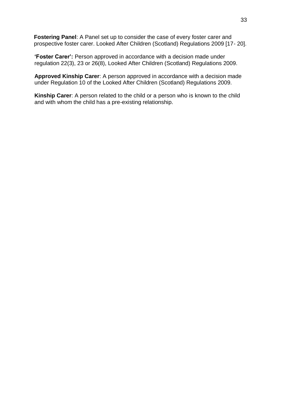**Fostering Panel**: A Panel set up to consider the case of every foster carer and prospective foster carer. Looked After Children (Scotland) Regulations 2009 [17- 20].

**'Foster Carer':** Person approved in accordance with a decision made under regulation 22(3), 23 or 26(8), Looked After Children (Scotland) Regulations 2009.

**Approved Kinship Carer**: A person approved in accordance with a decision made under Regulation 10 of the Looked After Children (Scotland) Regulations 2009.

**Kinship Carer**: A person related to the child or a person who is known to the child and with whom the child has a pre-existing relationship.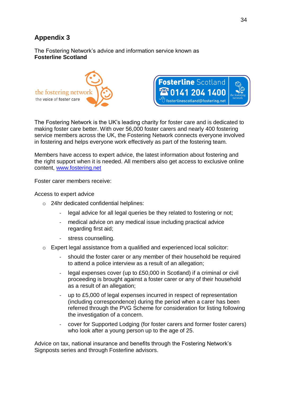# **Appendix 3**

The Fostering Network's advice and information service known as **Fosterline Scotland**



The Fostering Network is the UK's leading charity for foster care and is dedicated to making foster care better. With over 56,000 foster carers and nearly 400 fostering service members across the UK, the Fostering Network connects everyone involved in fostering and helps everyone work effectively as part of the fostering team.

Members have access to expert advice, the latest information about fostering and the right support when it is needed. All members also get access to exclusive online content, [www.fostering.net](http://www.fostering.net/)

Foster carer members receive:

Access to expert advice

- o 24hr dedicated confidential helplines:
	- legal advice for all legal queries be they related to fostering or not;
	- medical advice on any medical issue including practical advice regarding first aid;
	- stress counselling.
- $\circ$  Expert legal assistance from a qualified and experienced local solicitor:
	- should the foster carer or any member of their household be required to attend a police interview as a result of an allegation;
	- legal expenses cover (up to £50,000 in Scotland) if a criminal or civil proceeding is brought against a foster carer or any of their household as a result of an allegation;
	- up to £5,000 of legal expenses incurred in respect of representation (including correspondence) during the period when a carer has been referred through the PVG Scheme for consideration for listing following the investigation of a concern.
	- cover for Supported Lodging (for foster carers and former foster carers) who look after a young person up to the age of 25.

Advice on tax, national insurance and benefits through the Fostering Network's Signposts series and through Fosterline advisors.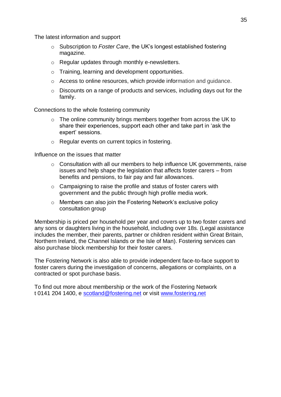The latest information and support

- o Subscription to *Foster Care*, the UK's longest established fostering magazine.
- o Regular updates through monthly e-newsletters.
- o Training, learning and development opportunities.
- o Access to online resources, which provide information and guidance.
- o Discounts on a range of products and services, including days out for the family.

Connections to the whole fostering community

- o The online community brings members together from across the UK to share their experiences, support each other and take part in 'ask the expert' sessions.
- o Regular events on current topics in fostering.

Influence on the issues that matter

- $\circ$  Consultation with all our members to help influence UK governments, raise issues and help shape the legislation that affects foster carers – from benefits and pensions, to fair pay and fair allowances.
- o Campaigning to raise the profile and status of foster carers with government and the public through high profile media work.
- o Members can also join the Fostering Network's exclusive policy consultation group

Membership is priced per household per year and covers up to two foster carers and any sons or daughters living in the household, including over 18s. (Legal assistance includes the member, their parents, partner or children resident within Great Britain, Northern Ireland, the Channel Islands or the Isle of Man). Fostering services can also purchase block membership for their foster carers.

The Fostering Network is also able to provide independent face-to-face support to foster carers during the investigation of concerns, allegations or complaints, on a contracted or spot purchase basis.

To find out more about membership or the work of the Fostering Network t 0141 204 1400, e [scotland@fostering.net](mailto:scotland@fostering.net) or visit [www.fostering.net](http://www.fostering.net/)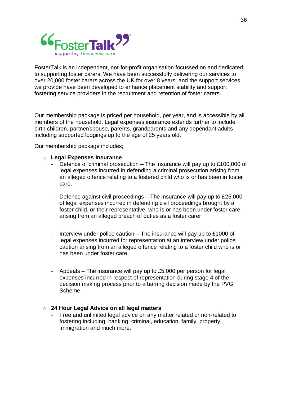

FosterTalk is an independent, not-for-profit organisation focussed on and dedicated to supporting foster carers. We have been successfully delivering our services to over 20,000 foster carers across the UK for over 8 years; and the support services we provide have been developed to enhance placement stability and support fostering service providers in the recruitment and retention of foster carers.

Our membership package is priced per household, per year, and is accessible by all members of the household. Legal expenses insurance extends further to include birth children, partner/spouse, parents, grandparents and any dependant adults including supported lodgings up to the age of 25 years old.

Our membership package includes;

#### o **Legal Expenses Insurance**

- Defence of criminal prosecution The insurance will pay up to £100,000 of legal expenses incurred in defending a criminal prosecution arising from an alleged offence relating to a fostered child who is or has been in foster care.
- Defence against civil proceedings The insurance will pay up to £25,000 of legal expenses incurred in defending civil proceedings brought by a foster child, or their representative, who is or has been under foster care arising from an alleged breach of duties as a foster carer
- Interview under police caution The insurance will pay up to £1000 of legal expenses incurred for representation at an interview under police caution arising from an alleged offence relating to a foster child who is or has been under foster care.
- Appeals The insurance will pay up to £5,000 per person for legal expenses incurred in respect of representation during stage 4 of the decision making process prior to a barring decision made by the PVG Scheme.

#### o **24 Hour Legal Advice on all legal matters**

Free and unlimited legal advice on any matter related or non-related to fostering including: banking, criminal, education, family, property, immigration and much more.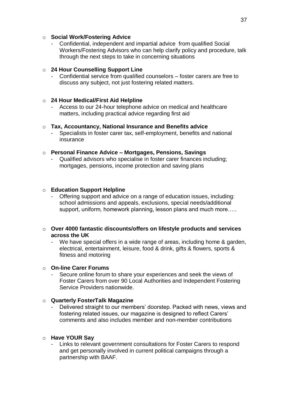## o **Social Work/Fostering Advice**

Confidential, independent and impartial advice from qualified Social Workers/Fostering Advisors who can help clarify policy and procedure, talk through the next steps to take in concerning situations

## o **24 Hour Counselling Support Line**

- Confidential service from qualified counselors – foster carers are free to discuss any subject, not just fostering related matters.

## o **24 Hour Medical/First Aid Helpline**

- Access to our 24-hour telephone advice on medical and healthcare matters, including practical advice regarding first aid

## o **Tax, Accountancy, National Insurance and Benefits advice**

Specialists in foster carer tax, self-employment, benefits and national insurance

## o **Personal Finance Advice – Mortgages, Pensions, Savings**

- Qualified advisors who specialise in foster carer finances including; mortgages, pensions, income protection and saving plans

## o **Education Support Helpline**

Offering support and advice on a range of education issues, including: school admissions and appeals, exclusions, special needs/additional support, uniform, homework planning, lesson plans and much more.....

## o **Over 4000 fantastic discounts/offers on lifestyle products and services across the UK**

We have special offers in a wide range of areas, including home & garden, electrical, entertainment, leisure, food & drink, gifts & flowers, sports & fitness and motoring

#### o **On-line Carer Forums**

Secure online forum to share your experiences and seek the views of Foster Carers from over 90 Local Authorities and Independent Fostering Service Providers nationwide.

#### o **Quarterly FosterTalk Magazine**

Delivered straight to our members' doorstep. Packed with news, views and fostering related issues, our magazine is designed to reflect Carers' comments and also includes member and non-member contributions

#### o **Have YOUR Say**

Links to relevant government consultations for Foster Carers to respond and get personally involved in current political campaigns through a partnership with BAAF.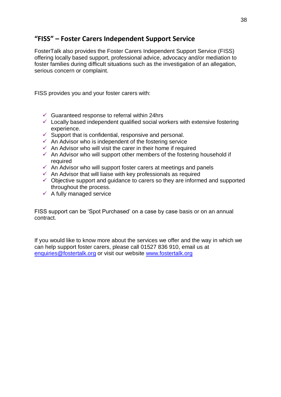# **"FISS" – Foster Carers Independent Support Service**

FosterTalk also provides the Foster Carers Independent Support Service (FISS) offering locally based support, professional advice, advocacy and/or mediation to foster families during difficult situations such as the investigation of an allegation, serious concern or complaint.

FISS provides you and your foster carers with:

- $\checkmark$  Guaranteed response to referral within 24hrs
- $\checkmark$  Locally based independent qualified social workers with extensive fostering experience.
- $\checkmark$  Support that is confidential, responsive and personal.
- $\checkmark$  An Advisor who is independent of the fostering service
- $\checkmark$  An Advisor who will visit the carer in their home if required
- $\checkmark$  An Advisor who will support other members of the fostering household if required
- $\checkmark$  An Advisor who will support foster carers at meetings and panels
- $\checkmark$  An Advisor that will liaise with key professionals as required
- $\checkmark$  Objective support and guidance to carers so they are informed and supported throughout the process.
- $\checkmark$  A fully managed service

FISS support can be 'Spot Purchased' on a case by case basis or on an annual contract.

If you would like to know more about the services we offer and the way in which we can help support foster carers, please call 01527 836 910, email us at [enquiries@fostertalk.org](mailto:enquiries@fostertalk.org) or visit our website [www.fostertalk.org](http://www.fostertalk.org/)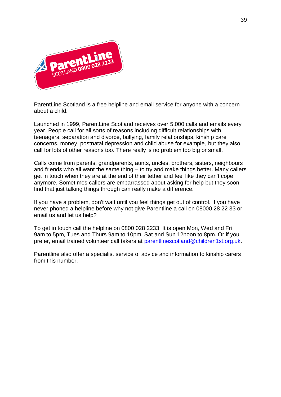

ParentLine Scotland is a free helpline and email service for anyone with a concern about a child.

Launched in 1999, ParentLine Scotland receives over 5,000 calls and emails every year. People call for all sorts of reasons including difficult relationships with teenagers, separation and divorce, bullying, family relationships, kinship care concerns, money, postnatal depression and child abuse for example, but they also call for lots of other reasons too. There really is no problem too big or small.

Calls come from parents, grandparents, aunts, uncles, brothers, sisters, neighbours and friends who all want the same thing – to try and make things better. Many callers get in touch when they are at the end of their tether and feel like they can't cope anymore. Sometimes callers are embarrassed about asking for help but they soon find that just talking things through can really make a difference.

If you have a problem, don't wait until you feel things get out of control. If you have never phoned a helpline before why not give Parentline a call on 08000 28 22 33 or email us and let us help?

To get in touch call the helpline on 0800 028 2233. It is open Mon, Wed and Fri 9am to 5pm, Tues and Thurs 9am to 10pm, Sat and Sun 12noon to 8pm. Or if you prefer, email trained volunteer call takers at [parentlinescotland@children1st.org.uk.](mailto:parentlinescotland@children1st.org.uk)

Parentline also offer a specialist service of advice and information to kinship carers from this number.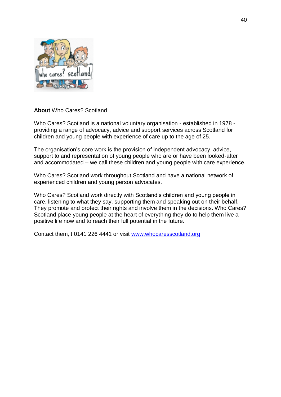

**About** Who Cares? Scotland

Who Cares? Scotland is a national voluntary organisation - established in 1978 providing a range of advocacy, advice and support services across Scotland for children and young people with experience of care up to the age of 25.

The organisation's core work is the provision of independent advocacy, advice, support to and representation of young people who are or have been looked-after and accommodated – we call these children and young people with care experience.

Who Cares? Scotland work throughout Scotland and have a national network of experienced children and young person advocates.

Who Cares? Scotland work directly with Scotland's children and young people in care, listening to what they say, supporting them and speaking out on their behalf. They promote and protect their rights and involve them in the decisions. Who Cares? Scotland place young people at the heart of everything they do to help them live a positive life now and to reach their full potential in the future.

Contact them, t 0141 226 4441 or visit [www.whocaresscotland.org](http://www.whocaresscotland.org/)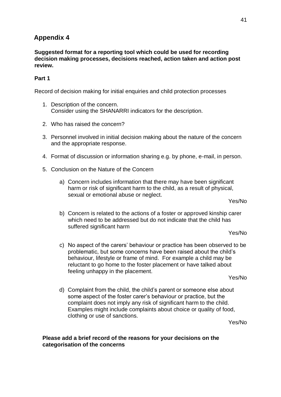## **Appendix 4**

**Suggested format for a reporting tool which could be used for recording decision making processes, decisions reached, action taken and action post review.** 

## **Part 1**

Record of decision making for initial enquiries and child protection processes

- 1. Description of the concern. Consider using the SHANARRI indicators for the description.
- 2. Who has raised the concern?
- 3. Personnel involved in initial decision making about the nature of the concern and the appropriate response.
- 4. Format of discussion or information sharing e.g. by phone, e-mail, in person.
- 5. Conclusion on the Nature of the Concern
	- a) Concern includes information that there may have been significant harm or risk of significant harm to the child, as a result of physical, sexual or emotional abuse or neglect.

Yes/No

b) Concern is related to the actions of a foster or approved kinship carer which need to be addressed but do not indicate that the child has suffered significant harm

Yes/No

c) No aspect of the carers' behaviour or practice has been observed to be problematic, but some concerns have been raised about the child's behaviour, lifestyle or frame of mind. For example a child may be reluctant to go home to the foster placement or have talked about feeling unhappy in the placement.

Yes/No

d) Complaint from the child, the child's parent or someone else about some aspect of the foster carer's behaviour or practice, but the complaint does not imply any risk of significant harm to the child. Examples might include complaints about choice or quality of food, clothing or use of sanctions.

Yes/No

#### **Please add a brief record of the reasons for your decisions on the categorisation of the concerns**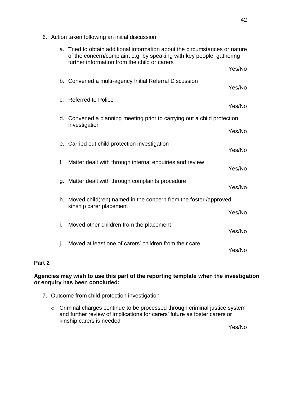6. Action taken following an initial discussion

| a. | Tried to obtain additional information about the circumstances or nature<br>of the concern/complaint e.g. by speaking with key people, gathering<br>further information from the child or carers |        |
|----|--------------------------------------------------------------------------------------------------------------------------------------------------------------------------------------------------|--------|
|    |                                                                                                                                                                                                  | Yes/No |
|    | b. Convened a multi-agency Initial Referral Discussion                                                                                                                                           | Yes/No |
|    | c. Referred to Police                                                                                                                                                                            | Yes/No |
|    | d. Convened a planning meeting prior to carrying out a child protection<br>investigation                                                                                                         |        |
|    |                                                                                                                                                                                                  | Yes/No |
|    | e. Carried out child protection investigation                                                                                                                                                    | Yes/No |
| f. | Matter dealt with through internal enquiries and review                                                                                                                                          | Yes/No |
| g. | Matter dealt with through complaints procedure                                                                                                                                                   | Yes/No |
|    | h. Moved child(ren) named in the concern from the foster /approved<br>kinship carer placement                                                                                                    |        |
|    |                                                                                                                                                                                                  | Yes/No |
| i. | Moved other children from the placement                                                                                                                                                          | Yes/No |
| j. | Moved at least one of carers' children from their care                                                                                                                                           | Yes/No |

## **Part 2**

## **Agencies may wish to use this part of the reporting template when the investigation or enquiry has been concluded:**

- 7. Outcome from child protection investigation
	- o Criminal charges continue to be processed through criminal justice system and further review of implications for carers' future as foster carers or kinship carers is needed

Yes/No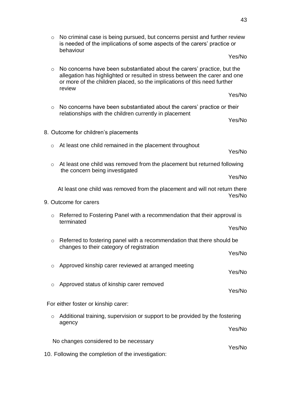o No criminal case is being pursued, but concerns persist and further review is needed of the implications of some aspects of the carers' practice or behaviour

Yes/No

- o No concerns have been substantiated about the carers' practice, but the allegation has highlighted or resulted in stress between the carer and one or more of the children placed, so the implications of this need further review
- o No concerns have been substantiated about the carers' practice or their relationships with the children currently in placement

Yes/No

Yes/No

- 8. Outcome for children's placements
	- o At least one child remained in the placement throughout
	- o At least one child was removed from the placement but returned following the concern being investigated

Yes/No

Yes/No

At least one child was removed from the placement and will not return there Yes/No

- 9. Outcome for carers
	- o Referred to Fostering Panel with a recommendation that their approval is terminated

Yes/No

Yes/No

Yes/No

- o Referred to fostering panel with a recommendation that there should be changes to their category of registration Yes/No
- o Approved kinship carer reviewed at arranged meeting Yes/No
- o Approved status of kinship carer removed

For either foster or kinship carer:

- o Additional training, supervision or support to be provided by the fostering agency Yes/No No changes considered to be necessary
- 10. Following the completion of the investigation: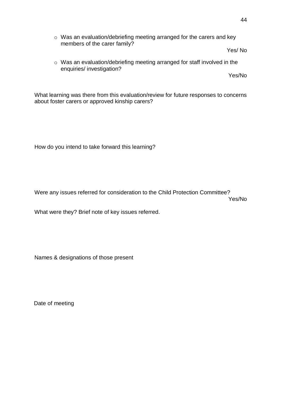o Was an evaluation/debriefing meeting arranged for the carers and key members of the carer family?

Yes/ No

o Was an evaluation/debriefing meeting arranged for staff involved in the enquiries/ investigation?

Yes/No

What learning was there from this evaluation/review for future responses to concerns about foster carers or approved kinship carers?

How do you intend to take forward this learning?

Were any issues referred for consideration to the Child Protection Committee? Yes/No

What were they? Brief note of key issues referred.

Names & designations of those present

Date of meeting